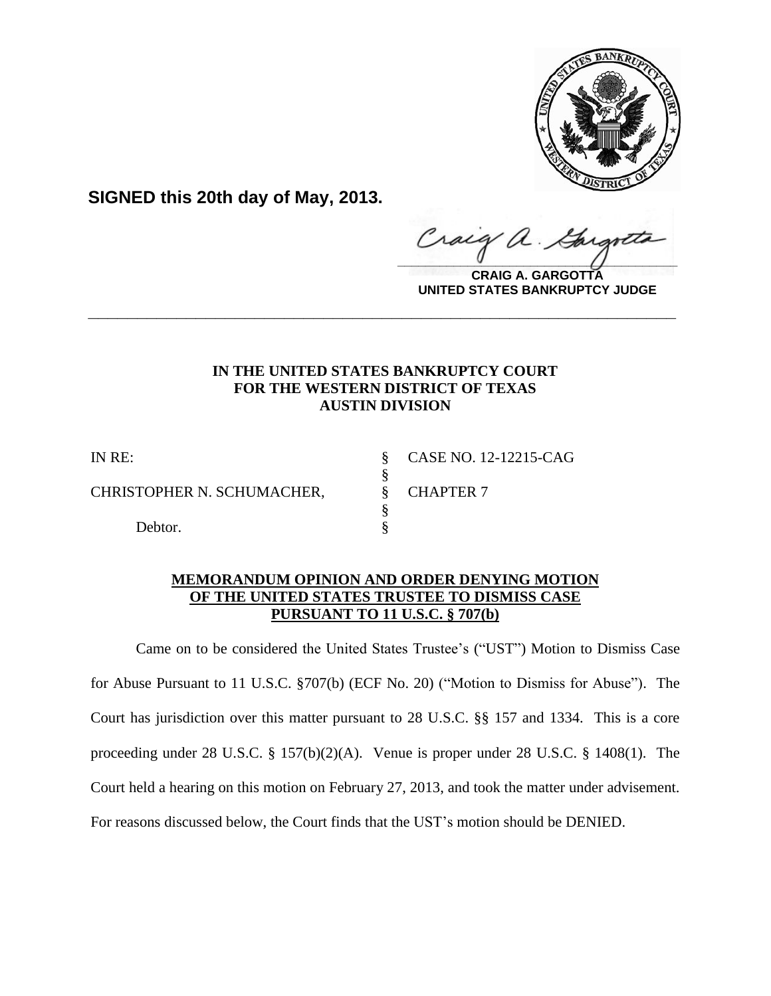

**SIGNED this 20th day of May, 2013.**

Craig a.  $\frac{1}{2}$ 

**CRAIG A. GARGOTTA UNITED STATES BANKRUPTCY JUDGE**

# **IN THE UNITED STATES BANKRUPTCY COURT FOR THE WESTERN DISTRICT OF TEXAS AUSTIN DIVISION**

**\_\_\_\_\_\_\_\_\_\_\_\_\_\_\_\_\_\_\_\_\_\_\_\_\_\_\_\_\_\_\_\_\_\_\_\_\_\_\_\_\_\_\_\_\_\_\_\_\_\_\_\_\_\_\_\_\_\_\_\_**

§<br>§

§

CHRISTOPHER N. SCHUMACHER, § CHAPTER 7

Debtor.

IN RE: § CASE NO. 12-12215-CAG

## **MEMORANDUM OPINION AND ORDER DENYING MOTION OF THE UNITED STATES TRUSTEE TO DISMISS CASE PURSUANT TO 11 U.S.C. § 707(b)**

Came on to be considered the United States Trustee's ("UST") Motion to Dismiss Case for Abuse Pursuant to 11 U.S.C. §707(b) (ECF No. 20) ("Motion to Dismiss for Abuse"). The Court has jurisdiction over this matter pursuant to 28 U.S.C. §§ 157 and 1334. This is a core proceeding under 28 U.S.C. § 157(b)(2)(A). Venue is proper under 28 U.S.C. § 1408(1). The Court held a hearing on this motion on February 27, 2013, and took the matter under advisement. For reasons discussed below, the Court finds that the UST's motion should be DENIED.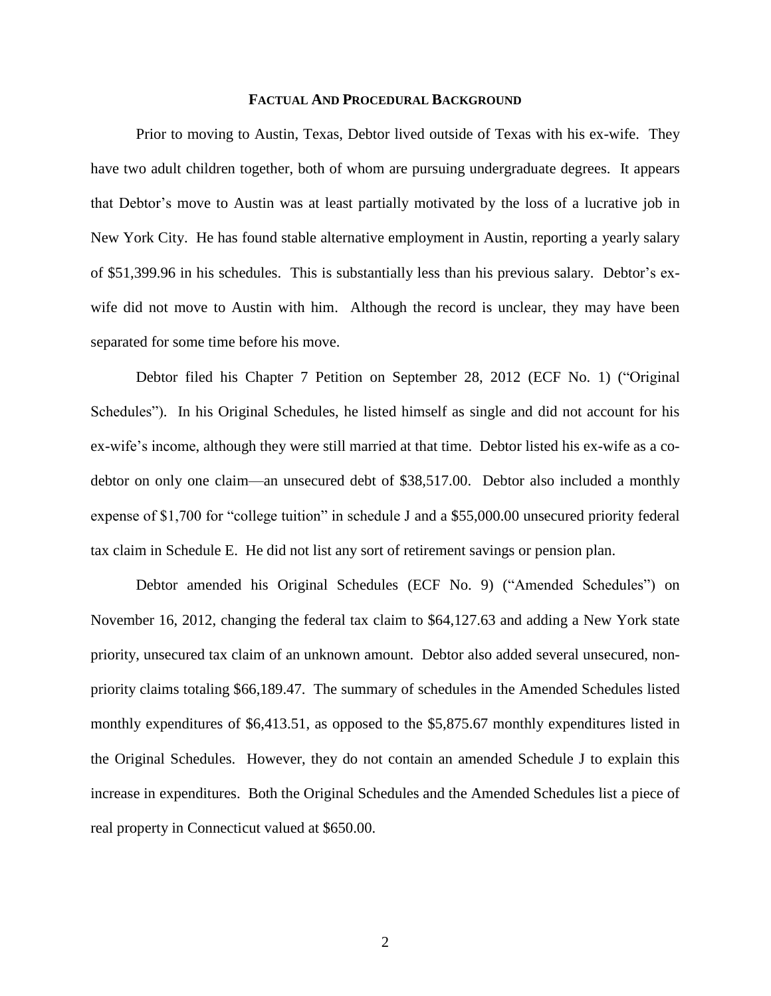### **FACTUAL AND PROCEDURAL BACKGROUND**

Prior to moving to Austin, Texas, Debtor lived outside of Texas with his ex-wife. They have two adult children together, both of whom are pursuing undergraduate degrees. It appears that Debtor's move to Austin was at least partially motivated by the loss of a lucrative job in New York City. He has found stable alternative employment in Austin, reporting a yearly salary of \$51,399.96 in his schedules. This is substantially less than his previous salary. Debtor's exwife did not move to Austin with him. Although the record is unclear, they may have been separated for some time before his move.

Debtor filed his Chapter 7 Petition on September 28, 2012 (ECF No. 1) ("Original Schedules"). In his Original Schedules, he listed himself as single and did not account for his ex-wife's income, although they were still married at that time. Debtor listed his ex-wife as a codebtor on only one claim—an unsecured debt of \$38,517.00. Debtor also included a monthly expense of \$1,700 for "college tuition" in schedule J and a \$55,000.00 unsecured priority federal tax claim in Schedule E. He did not list any sort of retirement savings or pension plan.

Debtor amended his Original Schedules (ECF No. 9) ("Amended Schedules") on November 16, 2012, changing the federal tax claim to \$64,127.63 and adding a New York state priority, unsecured tax claim of an unknown amount. Debtor also added several unsecured, nonpriority claims totaling \$66,189.47. The summary of schedules in the Amended Schedules listed monthly expenditures of \$6,413.51, as opposed to the \$5,875.67 monthly expenditures listed in the Original Schedules. However, they do not contain an amended Schedule J to explain this increase in expenditures. Both the Original Schedules and the Amended Schedules list a piece of real property in Connecticut valued at \$650.00.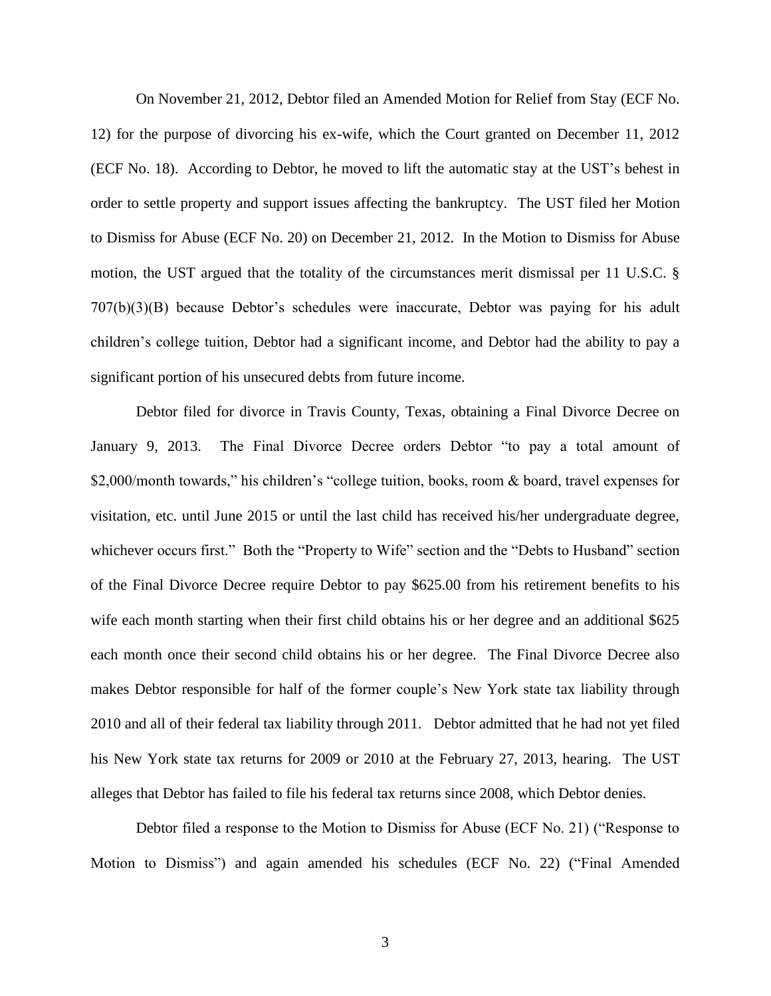On November 21, 2012, Debtor filed an Amended Motion for Relief from Stay (ECF No. 12) for the purpose of divorcing his ex-wife, which the Court granted on December 11, 2012 (ECF No. 18). According to Debtor, he moved to lift the automatic stay at the UST's behest in order to settle property and support issues affecting the bankruptcy. The UST filed her Motion to Dismiss for Abuse (ECF No. 20) on December 21, 2012. In the Motion to Dismiss for Abuse motion, the UST argued that the totality of the circumstances merit dismissal per 11 U.S.C. § 707(b)(3)(B) because Debtor's schedules were inaccurate, Debtor was paying for his adult children's college tuition, Debtor had a significant income, and Debtor had the ability to pay a significant portion of his unsecured debts from future income.

Debtor filed for divorce in Travis County, Texas, obtaining a Final Divorce Decree on January 9, 2013. The Final Divorce Decree orders Debtor "to pay a total amount of \$2,000/month towards," his children's "college tuition, books, room & board, travel expenses for visitation, etc. until June 2015 or until the last child has received his/her undergraduate degree, whichever occurs first." Both the "Property to Wife" section and the "Debts to Husband" section of the Final Divorce Decree require Debtor to pay \$625.00 from his retirement benefits to his wife each month starting when their first child obtains his or her degree and an additional \$625 each month once their second child obtains his or her degree. The Final Divorce Decree also makes Debtor responsible for half of the former couple's New York state tax liability through 2010 and all of their federal tax liability through 2011. Debtor admitted that he had not yet filed his New York state tax returns for 2009 or 2010 at the February 27, 2013, hearing. The UST alleges that Debtor has failed to file his federal tax returns since 2008, which Debtor denies.

Debtor filed a response to the Motion to Dismiss for Abuse (ECF No. 21) ("Response to Motion to Dismiss") and again amended his schedules (ECF No. 22) ("Final Amended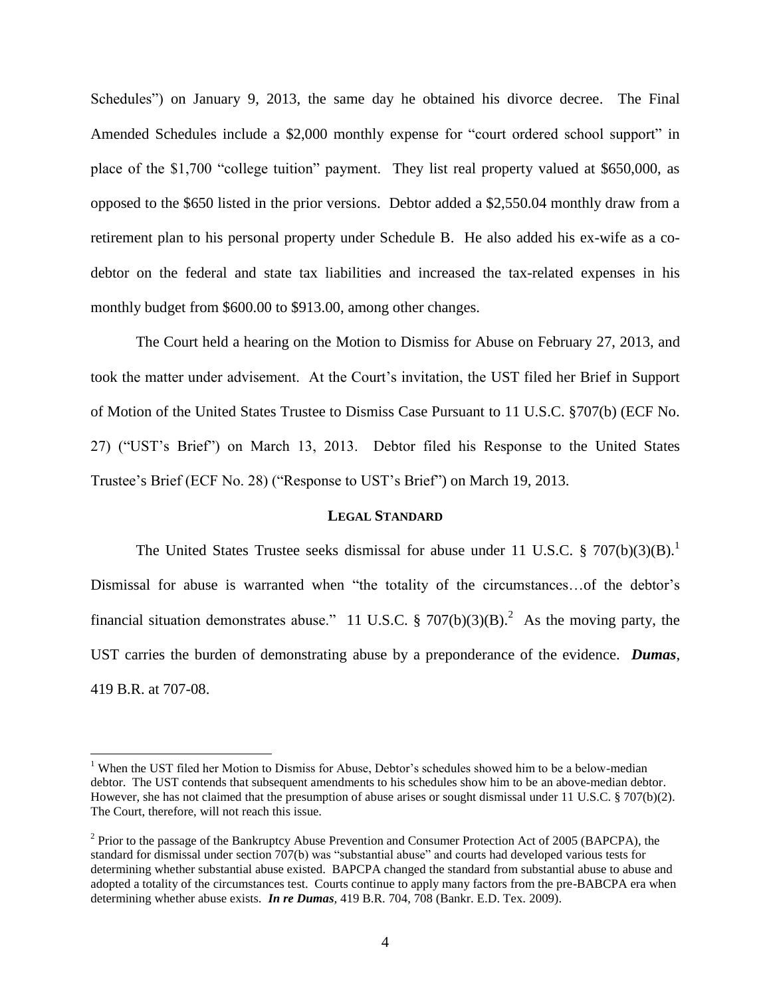Schedules") on January 9, 2013, the same day he obtained his divorce decree. The Final Amended Schedules include a \$2,000 monthly expense for "court ordered school support" in place of the \$1,700 "college tuition" payment. They list real property valued at \$650,000, as opposed to the \$650 listed in the prior versions. Debtor added a \$2,550.04 monthly draw from a retirement plan to his personal property under Schedule B. He also added his ex-wife as a codebtor on the federal and state tax liabilities and increased the tax-related expenses in his monthly budget from \$600.00 to \$913.00, among other changes.

The Court held a hearing on the Motion to Dismiss for Abuse on February 27, 2013, and took the matter under advisement. At the Court's invitation, the UST filed her Brief in Support of Motion of the United States Trustee to Dismiss Case Pursuant to 11 U.S.C. §707(b) (ECF No. 27) ("UST's Brief") on March 13, 2013. Debtor filed his Response to the United States Trustee's Brief (ECF No. 28) ("Response to UST's Brief") on March 19, 2013.

## **LEGAL STANDARD**

The United States Trustee seeks dismissal for abuse under 11 U.S.C.  $\S 707(b)(3)(B)$ . Dismissal for abuse is warranted when "the totality of the circumstances…of the debtor's financial situation demonstrates abuse." 11 U.S.C.  $\S 707(b)(3)(B)$ .<sup>2</sup> As the moving party, the UST carries the burden of demonstrating abuse by a preponderance of the evidence. *Dumas*, 419 B.R. at 707-08.

<sup>&</sup>lt;sup>1</sup> When the UST filed her Motion to Dismiss for Abuse, Debtor's schedules showed him to be a below-median debtor. The UST contends that subsequent amendments to his schedules show him to be an above-median debtor. However, she has not claimed that the presumption of abuse arises or sought dismissal under 11 U.S.C. § 707(b)(2). The Court, therefore, will not reach this issue.

<sup>&</sup>lt;sup>2</sup> Prior to the passage of the Bankruptcy Abuse Prevention and Consumer Protection Act of 2005 (BAPCPA), the standard for dismissal under section 707(b) was "substantial abuse" and courts had developed various tests for determining whether substantial abuse existed. BAPCPA changed the standard from substantial abuse to abuse and adopted a totality of the circumstances test. Courts continue to apply many factors from the pre-BABCPA era when determining whether abuse exists. *In re Dumas,* 419 B.R. 704, 708 (Bankr. E.D. Tex. 2009).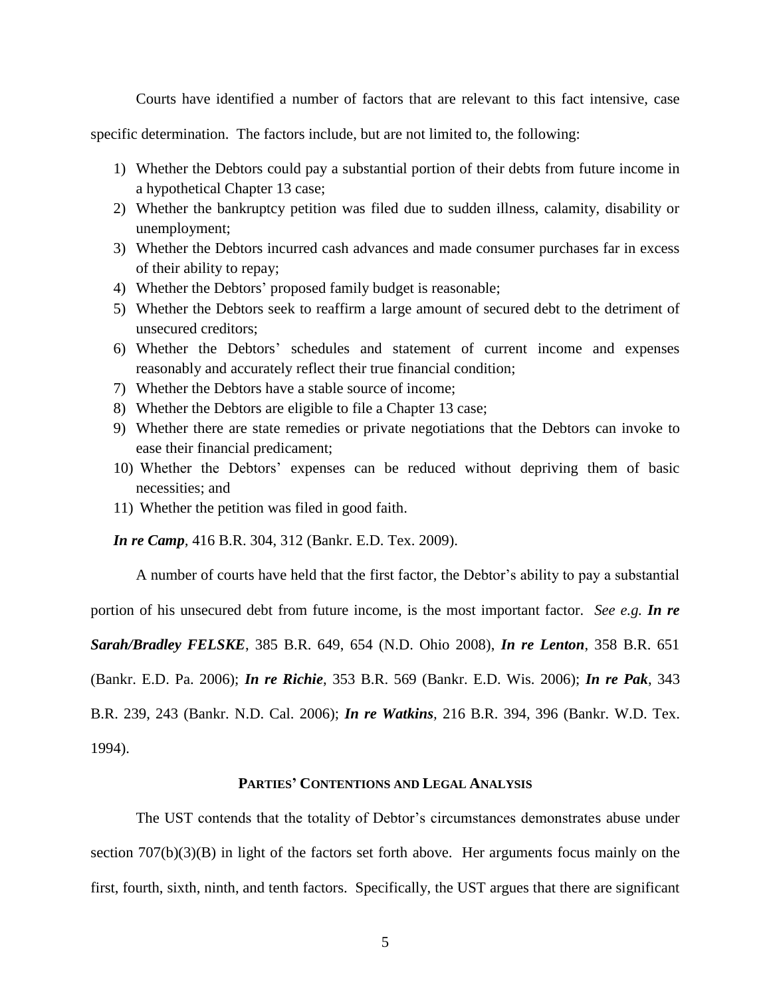Courts have identified a number of factors that are relevant to this fact intensive, case

specific determination. The factors include, but are not limited to, the following:

- 1) Whether the Debtors could pay a substantial portion of their debts from future income in a hypothetical Chapter 13 case;
- 2) Whether the bankruptcy petition was filed due to sudden illness, calamity, disability or unemployment;
- 3) Whether the Debtors incurred cash advances and made consumer purchases far in excess of their ability to repay;
- 4) Whether the Debtors' proposed family budget is reasonable;
- 5) Whether the Debtors seek to reaffirm a large amount of secured debt to the detriment of unsecured creditors;
- 6) Whether the Debtors' schedules and statement of current income and expenses reasonably and accurately reflect their true financial condition;
- 7) Whether the Debtors have a stable source of income;
- 8) Whether the Debtors are eligible to file a Chapter 13 case;
- 9) Whether there are state remedies or private negotiations that the Debtors can invoke to ease their financial predicament;
- 10) Whether the Debtors' expenses can be reduced without depriving them of basic necessities; and
- 11) Whether the petition was filed in good faith.

*In re Camp,* 416 B.R. 304, 312 (Bankr. E.D. Tex. 2009).

A number of courts have held that the first factor, the Debtor's ability to pay a substantial

portion of his unsecured debt from future income, is the most important factor. *See e.g. In re* 

*Sarah/Bradley FELSKE*, 385 B.R. 649, 654 (N.D. Ohio 2008), *In re Lenton*, 358 B.R. 651

(Bankr. E.D. Pa. 2006); *In re Richie*, 353 B.R. 569 (Bankr. E.D. Wis. 2006); *In re Pak*, 343

B.R. 239, 243 (Bankr. N.D. Cal. 2006); *In re Watkins,* 216 B.R. 394, 396 (Bankr. W.D. Tex.

1994).

## **PARTIES' CONTENTIONS AND LEGAL ANALYSIS**

The UST contends that the totality of Debtor's circumstances demonstrates abuse under section 707(b)(3)(B) in light of the factors set forth above. Her arguments focus mainly on the first, fourth, sixth, ninth, and tenth factors. Specifically, the UST argues that there are significant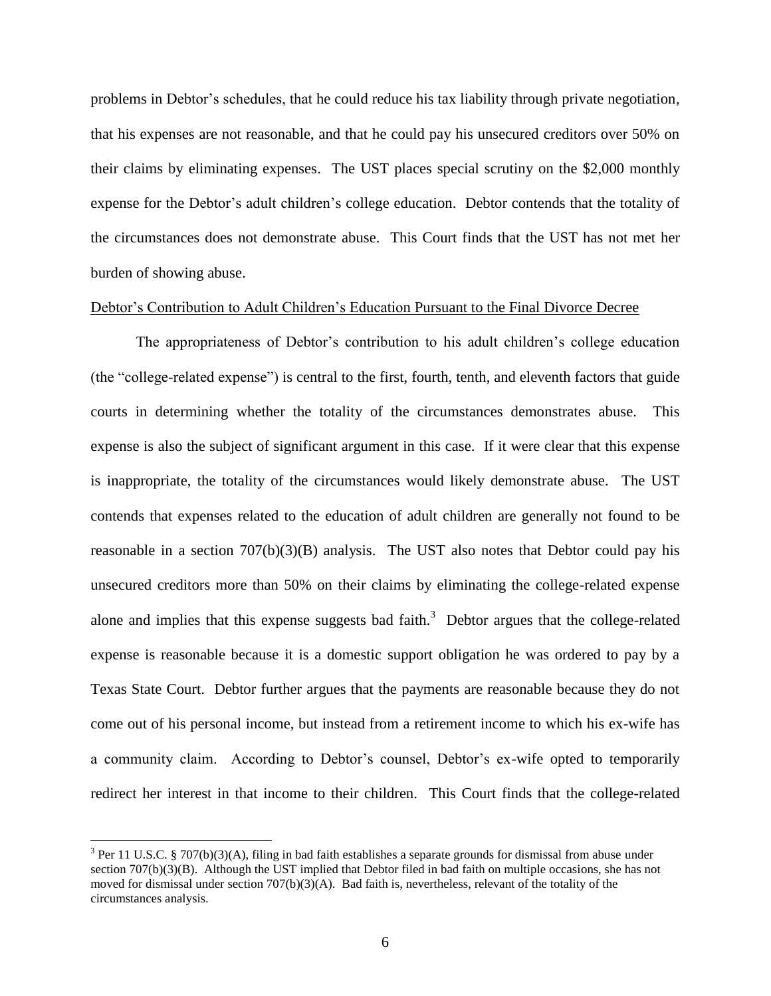problems in Debtor's schedules, that he could reduce his tax liability through private negotiation, that his expenses are not reasonable, and that he could pay his unsecured creditors over 50% on their claims by eliminating expenses. The UST places special scrutiny on the \$2,000 monthly expense for the Debtor's adult children's college education. Debtor contends that the totality of the circumstances does not demonstrate abuse. This Court finds that the UST has not met her burden of showing abuse.

### Debtor's Contribution to Adult Children's Education Pursuant to the Final Divorce Decree

The appropriateness of Debtor's contribution to his adult children's college education (the "college-related expense") is central to the first, fourth, tenth, and eleventh factors that guide courts in determining whether the totality of the circumstances demonstrates abuse. This expense is also the subject of significant argument in this case. If it were clear that this expense is inappropriate, the totality of the circumstances would likely demonstrate abuse. The UST contends that expenses related to the education of adult children are generally not found to be reasonable in a section  $707(b)(3)(B)$  analysis. The UST also notes that Debtor could pay his unsecured creditors more than 50% on their claims by eliminating the college-related expense alone and implies that this expense suggests bad faith.<sup>3</sup> Debtor argues that the college-related expense is reasonable because it is a domestic support obligation he was ordered to pay by a Texas State Court. Debtor further argues that the payments are reasonable because they do not come out of his personal income, but instead from a retirement income to which his ex-wife has a community claim. According to Debtor's counsel, Debtor's ex-wife opted to temporarily redirect her interest in that income to their children. This Court finds that the college-related

<sup>&</sup>lt;sup>3</sup> Per 11 U.S.C. § 707(b)(3)(A), filing in bad faith establishes a separate grounds for dismissal from abuse under section 707(b)(3)(B). Although the UST implied that Debtor filed in bad faith on multiple occasions, she has not moved for dismissal under section 707(b)(3)(A). Bad faith is, nevertheless, relevant of the totality of the circumstances analysis.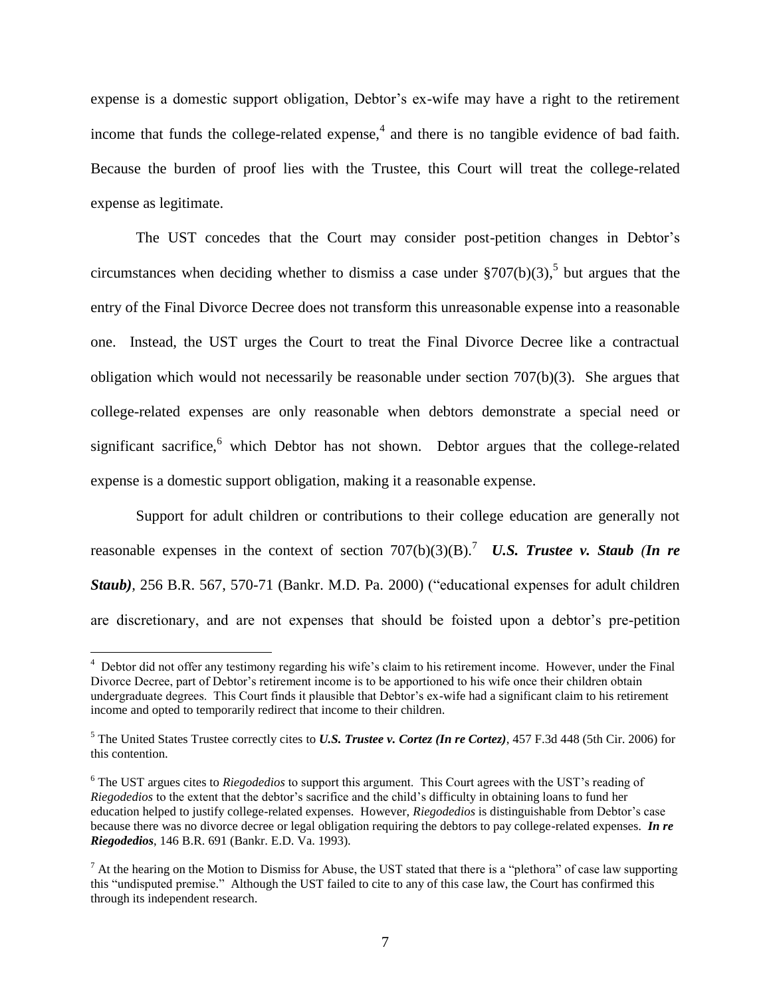expense is a domestic support obligation, Debtor's ex-wife may have a right to the retirement income that funds the college-related expense, $4$  and there is no tangible evidence of bad faith. Because the burden of proof lies with the Trustee, this Court will treat the college-related expense as legitimate.

The UST concedes that the Court may consider post-petition changes in Debtor's circumstances when deciding whether to dismiss a case under  $\S 707(b)(3)$ , but argues that the entry of the Final Divorce Decree does not transform this unreasonable expense into a reasonable one. Instead, the UST urges the Court to treat the Final Divorce Decree like a contractual obligation which would not necessarily be reasonable under section 707(b)(3). She argues that college-related expenses are only reasonable when debtors demonstrate a special need or significant sacrifice,<sup>6</sup> which Debtor has not shown. Debtor argues that the college-related expense is a domestic support obligation, making it a reasonable expense.

Support for adult children or contributions to their college education are generally not reasonable expenses in the context of section  $707(b)(3)(B)$ .<sup>7</sup> *U.S. Trustee v. Staub (In re Staub),* 256 B.R. 567, 570-71 (Bankr. M.D. Pa. 2000) ("educational expenses for adult children are discretionary, and are not expenses that should be foisted upon a debtor's pre-petition

<sup>&</sup>lt;sup>4</sup> Debtor did not offer any testimony regarding his wife's claim to his retirement income. However, under the Final Divorce Decree, part of Debtor's retirement income is to be apportioned to his wife once their children obtain undergraduate degrees. This Court finds it plausible that Debtor's ex-wife had a significant claim to his retirement income and opted to temporarily redirect that income to their children.

<sup>5</sup> The United States Trustee correctly cites to *U.S. Trustee v. Cortez (In re Cortez)*, 457 F.3d 448 (5th Cir. 2006) for this contention.

<sup>&</sup>lt;sup>6</sup> The UST argues cites to *Riegodedios* to support this argument. This Court agrees with the UST's reading of *Riegodedios* to the extent that the debtor's sacrifice and the child's difficulty in obtaining loans to fund her education helped to justify college-related expenses. However, *Riegodedios* is distinguishable from Debtor's case because there was no divorce decree or legal obligation requiring the debtors to pay college-related expenses. *In re Riegodedios*, 146 B.R. 691 (Bankr. E.D. Va. 1993).

 $^7$  At the hearing on the Motion to Dismiss for Abuse, the UST stated that there is a "plethora" of case law supporting this "undisputed premise." Although the UST failed to cite to any of this case law, the Court has confirmed this through its independent research.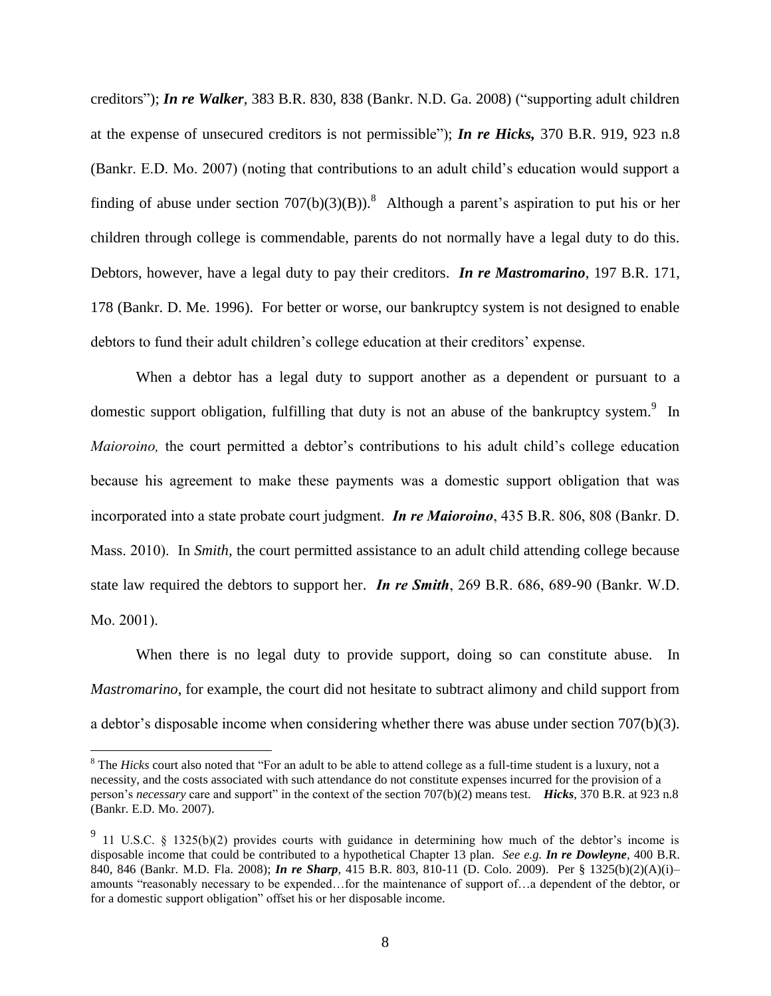creditors"); *In re Walker*, 383 B.R. 830, 838 (Bankr. N.D. Ga. 2008) ("supporting adult children at the expense of unsecured creditors is not permissible"); *In re Hicks,* 370 B.R. 919, 923 n.8 (Bankr. E.D. Mo. 2007) (noting that contributions to an adult child's education would support a finding of abuse under section  $707(b)(3)(B)$ .<sup>8</sup> Although a parent's aspiration to put his or her children through college is commendable, parents do not normally have a legal duty to do this. Debtors, however, have a legal duty to pay their creditors. *In re Mastromarino*, 197 B.R. 171, 178 (Bankr. D. Me. 1996). For better or worse, our bankruptcy system is not designed to enable debtors to fund their adult children's college education at their creditors' expense.

When a debtor has a legal duty to support another as a dependent or pursuant to a domestic support obligation, fulfilling that duty is not an abuse of the bankruptcy system.<sup>9</sup> In *Maioroino*, the court permitted a debtor's contributions to his adult child's college education because his agreement to make these payments was a domestic support obligation that was incorporated into a state probate court judgment. *In re Maioroino*, 435 B.R. 806, 808 (Bankr. D. Mass. 2010). In *Smith,* the court permitted assistance to an adult child attending college because state law required the debtors to support her. *In re Smith*, 269 B.R. 686, 689-90 (Bankr. W.D. Mo. 2001).

When there is no legal duty to provide support, doing so can constitute abuse. In *Mastromarino*, for example, the court did not hesitate to subtract alimony and child support from a debtor's disposable income when considering whether there was abuse under section 707(b)(3).

<sup>&</sup>lt;sup>8</sup> The *Hicks* court also noted that "For an adult to be able to attend college as a full-time student is a luxury, not a necessity, and the costs associated with such attendance do not constitute expenses incurred for the provision of a person's *necessary* care and support" in the context of the section 707(b)(2) means test. *Hicks*, 370 B.R. at 923 n.8 (Bankr. E.D. Mo. 2007).

<sup>&</sup>lt;sup>9</sup> 11 U.S.C. § 1325(b)(2) provides courts with guidance in determining how much of the debtor's income is disposable income that could be contributed to a hypothetical Chapter 13 plan. *See e.g. In re Dowleyne,* 400 B.R. 840, 846 (Bankr. M.D. Fla. 2008); *In re Sharp,* 415 B.R. 803, 810-11 (D. Colo. 2009). Per § 1325(b)(2)(A)(i)– amounts "reasonably necessary to be expended…for the maintenance of support of…a dependent of the debtor, or for a domestic support obligation" offset his or her disposable income.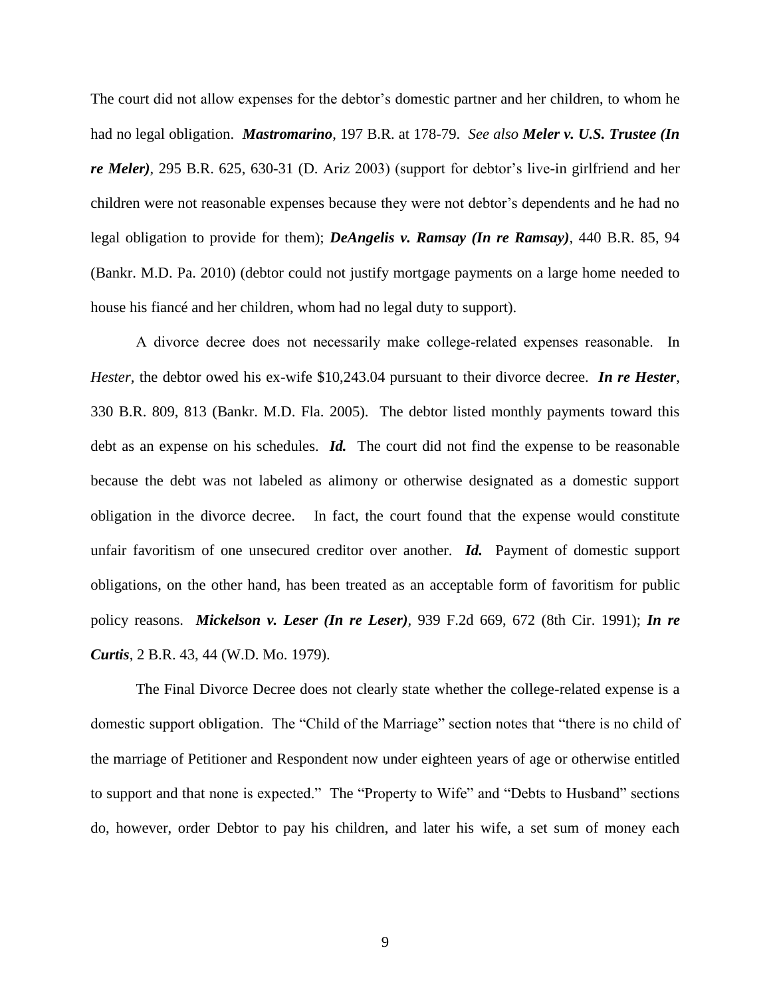The court did not allow expenses for the debtor's domestic partner and her children, to whom he had no legal obligation. *Mastromarino*, 197 B.R. at 178-79. *See also Meler v. U.S. Trustee (In re Meler)*, 295 B.R. 625, 630-31 (D. Ariz 2003) (support for debtor's live-in girlfriend and her children were not reasonable expenses because they were not debtor's dependents and he had no legal obligation to provide for them); *DeAngelis v. Ramsay (In re Ramsay),* 440 B.R. 85, 94 (Bankr. M.D. Pa. 2010) (debtor could not justify mortgage payments on a large home needed to house his fiancé and her children, whom had no legal duty to support).

A divorce decree does not necessarily make college-related expenses reasonable. In *Hester,* the debtor owed his ex-wife \$10,243.04 pursuant to their divorce decree. *In re Hester*, 330 B.R. 809, 813 (Bankr. M.D. Fla. 2005). The debtor listed monthly payments toward this debt as an expense on his schedules. *Id*. The court did not find the expense to be reasonable because the debt was not labeled as alimony or otherwise designated as a domestic support obligation in the divorce decree. In fact, the court found that the expense would constitute unfair favoritism of one unsecured creditor over another. *Id.* Payment of domestic support obligations, on the other hand, has been treated as an acceptable form of favoritism for public policy reasons. *Mickelson v. Leser (In re Leser),* 939 F.2d 669, 672 (8th Cir. 1991); *In re Curtis*, 2 B.R. 43, 44 (W.D. Mo. 1979).

The Final Divorce Decree does not clearly state whether the college-related expense is a domestic support obligation. The "Child of the Marriage" section notes that "there is no child of the marriage of Petitioner and Respondent now under eighteen years of age or otherwise entitled to support and that none is expected." The "Property to Wife" and "Debts to Husband" sections do, however, order Debtor to pay his children, and later his wife, a set sum of money each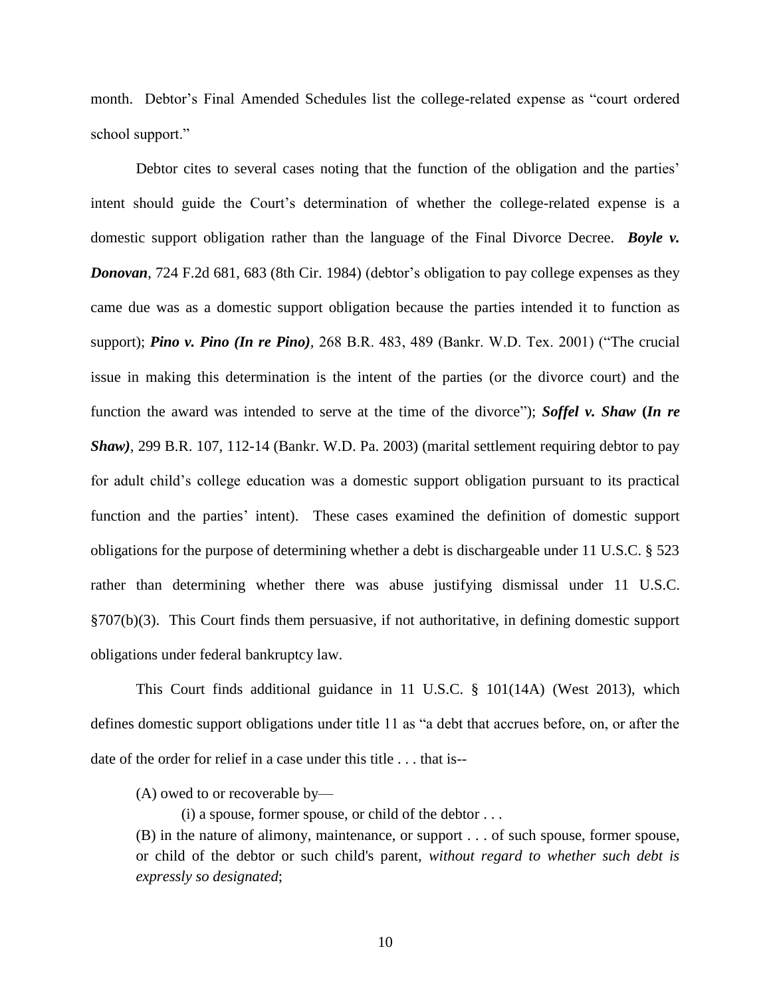month. Debtor's Final Amended Schedules list the college-related expense as "court ordered school support."

Debtor cites to several cases noting that the function of the obligation and the parties' intent should guide the Court's determination of whether the college-related expense is a domestic support obligation rather than the language of the Final Divorce Decree. *Boyle v. Donovan*, 724 F.2d 681, 683 (8th Cir. 1984) (debtor's obligation to pay college expenses as they came due was as a domestic support obligation because the parties intended it to function as support); *Pino v. Pino (In re Pino),* 268 B.R. 483, 489 (Bankr. W.D. Tex. 2001) ("The crucial issue in making this determination is the intent of the parties (or the divorce court) and the function the award was intended to serve at the time of the divorce"); *Soffel v. Shaw* **(***In re Shaw),* 299 B.R. 107, 112-14 (Bankr. W.D. Pa. 2003) (marital settlement requiring debtor to pay for adult child's college education was a domestic support obligation pursuant to its practical function and the parties' intent). These cases examined the definition of domestic support obligations for the purpose of determining whether a debt is dischargeable under 11 U.S.C. § 523 rather than determining whether there was abuse justifying dismissal under 11 U.S.C. §707(b)(3). This Court finds them persuasive, if not authoritative, in defining domestic support obligations under federal bankruptcy law.

This Court finds additional guidance in 11 U.S.C. § 101(14A) (West 2013), which defines domestic support obligations under title 11 as "a debt that accrues before, on, or after the date of the order for relief in a case under this title . . . that is--

(A) owed to or recoverable by—

 $(i)$  a spouse, former spouse, or child of the debtor  $\dots$ 

(B) in the nature of alimony, maintenance, or support . . . of such spouse, former spouse, or child of the debtor or such child's parent, *without regard to whether such debt is expressly so designated*;

10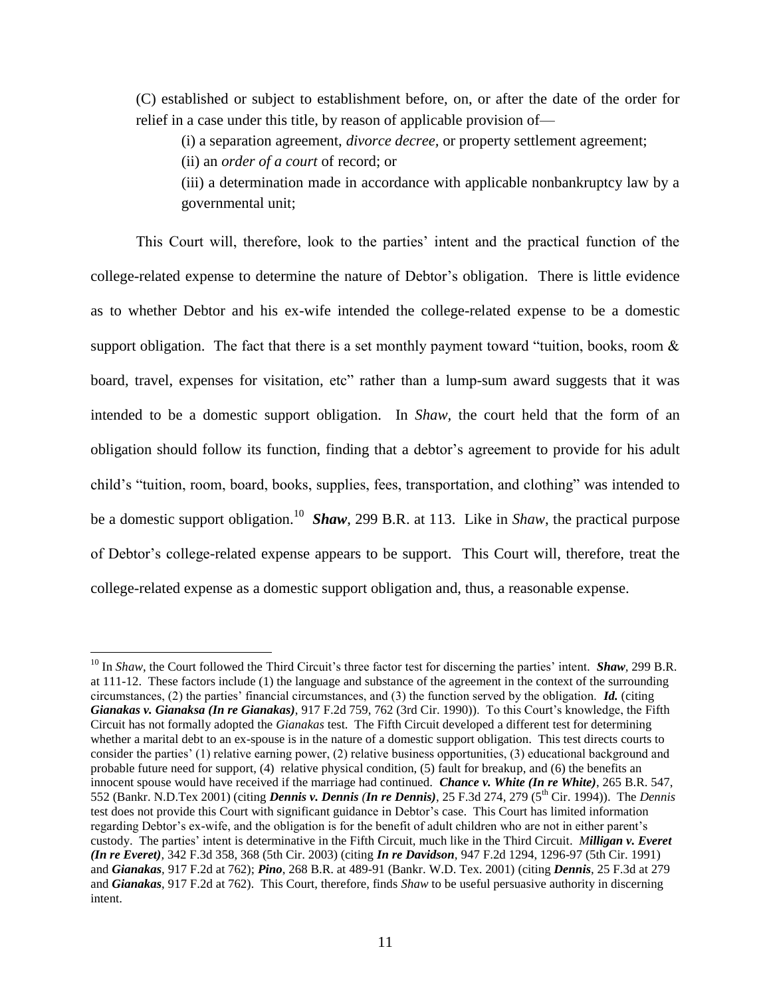(C) established or subject to establishment before, on, or after the date of the order for relief in a case under this title, by reason of applicable provision of—

(i) a separation agreement, *divorce decree,* or property settlement agreement;

(ii) an *order of a court* of record; or

 $\overline{a}$ 

(iii) a determination made in accordance with applicable nonbankruptcy law by a governmental unit;

This Court will, therefore, look to the parties' intent and the practical function of the college-related expense to determine the nature of Debtor's obligation. There is little evidence as to whether Debtor and his ex-wife intended the college-related expense to be a domestic support obligation. The fact that there is a set monthly payment toward "tuition, books, room & board, travel, expenses for visitation, etc" rather than a lump-sum award suggests that it was intended to be a domestic support obligation. In *Shaw,* the court held that the form of an obligation should follow its function, finding that a debtor's agreement to provide for his adult child's "tuition, room, board, books, supplies, fees, transportation, and clothing" was intended to be a domestic support obligation.<sup>10</sup> *Shaw*, 299 B.R. at 113. Like in *Shaw*, the practical purpose of Debtor's college-related expense appears to be support. This Court will, therefore, treat the college-related expense as a domestic support obligation and, thus, a reasonable expense.

<sup>10</sup> In *Shaw*, the Court followed the Third Circuit's three factor test for discerning the parties' intent*. Shaw,* 299 B.R. at 111-12. These factors include (1) the language and substance of the agreement in the context of the surrounding circumstances, (2) the parties' financial circumstances, and (3) the function served by the obligation. *Id.* (citing *Gianakas v. Gianaksa (In re Gianakas)*, 917 F.2d 759, 762 (3rd Cir. 1990)). To this Court's knowledge, the Fifth Circuit has not formally adopted the *Gianakas* test. The Fifth Circuit developed a different test for determining whether a marital debt to an ex-spouse is in the nature of a domestic support obligation. This test directs courts to consider the parties' (1) relative earning power, (2) relative business opportunities, (3) educational background and probable future need for support, (4) relative physical condition, (5) fault for breakup, and (6) the benefits an innocent spouse would have received if the marriage had continued. *Chance v. White (In re White)*, 265 B.R. 547, 552 (Bankr. N.D.Tex 2001) (citing *Dennis v. Dennis (In re Dennis)*, 25 F.3d 274, 279 (5th Cir. 1994)). The *Dennis* test does not provide this Court with significant guidance in Debtor's case. This Court has limited information regarding Debtor's ex-wife, and the obligation is for the benefit of adult children who are not in either parent's custody. The parties' intent is determinative in the Fifth Circuit, much like in the Third Circuit. *Milligan v. Everet (In re Everet),* 342 F.3d 358, 368 (5th Cir. 2003) (citing *In re Davidson,* 947 F.2d 1294, 1296-97 (5th Cir. 1991) and *Gianakas,* 917 F.2d at 762); *Pino*, 268 B.R. at 489-91 (Bankr. W.D. Tex. 2001) (citing *Dennis*, 25 F.3d at 279 and *Gianakas*, 917 F.2d at 762)*.* This Court, therefore, finds *Shaw* to be useful persuasive authority in discerning intent.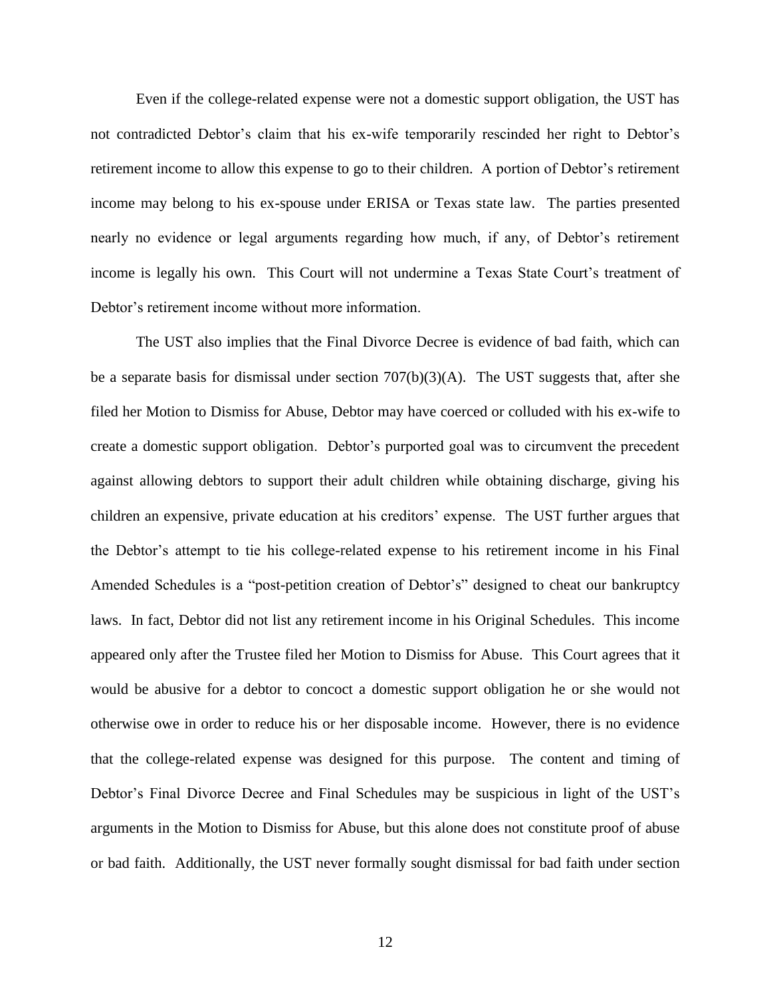Even if the college-related expense were not a domestic support obligation, the UST has not contradicted Debtor's claim that his ex-wife temporarily rescinded her right to Debtor's retirement income to allow this expense to go to their children. A portion of Debtor's retirement income may belong to his ex-spouse under ERISA or Texas state law. The parties presented nearly no evidence or legal arguments regarding how much, if any, of Debtor's retirement income is legally his own. This Court will not undermine a Texas State Court's treatment of Debtor's retirement income without more information.

The UST also implies that the Final Divorce Decree is evidence of bad faith, which can be a separate basis for dismissal under section 707(b)(3)(A). The UST suggests that, after she filed her Motion to Dismiss for Abuse, Debtor may have coerced or colluded with his ex-wife to create a domestic support obligation. Debtor's purported goal was to circumvent the precedent against allowing debtors to support their adult children while obtaining discharge, giving his children an expensive, private education at his creditors' expense. The UST further argues that the Debtor's attempt to tie his college-related expense to his retirement income in his Final Amended Schedules is a "post-petition creation of Debtor's" designed to cheat our bankruptcy laws. In fact, Debtor did not list any retirement income in his Original Schedules. This income appeared only after the Trustee filed her Motion to Dismiss for Abuse. This Court agrees that it would be abusive for a debtor to concoct a domestic support obligation he or she would not otherwise owe in order to reduce his or her disposable income. However, there is no evidence that the college-related expense was designed for this purpose. The content and timing of Debtor's Final Divorce Decree and Final Schedules may be suspicious in light of the UST's arguments in the Motion to Dismiss for Abuse, but this alone does not constitute proof of abuse or bad faith. Additionally, the UST never formally sought dismissal for bad faith under section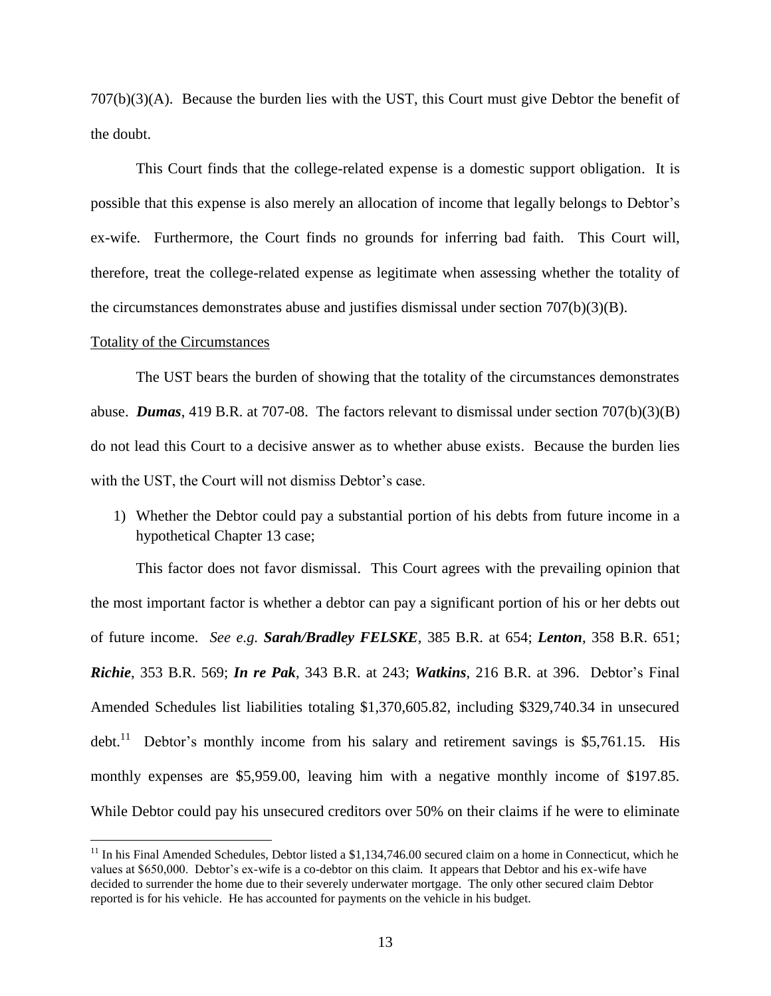707(b)(3)(A). Because the burden lies with the UST, this Court must give Debtor the benefit of the doubt.

This Court finds that the college-related expense is a domestic support obligation. It is possible that this expense is also merely an allocation of income that legally belongs to Debtor's ex-wife. Furthermore, the Court finds no grounds for inferring bad faith. This Court will, therefore, treat the college-related expense as legitimate when assessing whether the totality of the circumstances demonstrates abuse and justifies dismissal under section 707(b)(3)(B).

### Totality of the Circumstances

 $\overline{a}$ 

The UST bears the burden of showing that the totality of the circumstances demonstrates abuse. *Dumas*, 419 B.R. at 707-08. The factors relevant to dismissal under section 707(b)(3)(B) do not lead this Court to a decisive answer as to whether abuse exists. Because the burden lies with the UST, the Court will not dismiss Debtor's case.

1) Whether the Debtor could pay a substantial portion of his debts from future income in a hypothetical Chapter 13 case;

This factor does not favor dismissal. This Court agrees with the prevailing opinion that the most important factor is whether a debtor can pay a significant portion of his or her debts out of future income. *See e.g. Sarah/Bradley FELSKE*, 385 B.R. at 654; *Lenton*, 358 B.R. 651; *Richie*, 353 B.R. 569; *In re Pak*, 343 B.R. at 243; *Watkins,* 216 B.R. at 396. Debtor's Final Amended Schedules list liabilities totaling \$1,370,605.82, including \$329,740.34 in unsecured debt.<sup>11</sup> Debtor's monthly income from his salary and retirement savings is \$5,761.15. His monthly expenses are \$5,959.00, leaving him with a negative monthly income of \$197.85. While Debtor could pay his unsecured creditors over 50% on their claims if he were to eliminate

 $11$  In his Final Amended Schedules, Debtor listed a \$1,134,746.00 secured claim on a home in Connecticut, which he values at \$650,000. Debtor's ex-wife is a co-debtor on this claim. It appears that Debtor and his ex-wife have decided to surrender the home due to their severely underwater mortgage. The only other secured claim Debtor reported is for his vehicle. He has accounted for payments on the vehicle in his budget.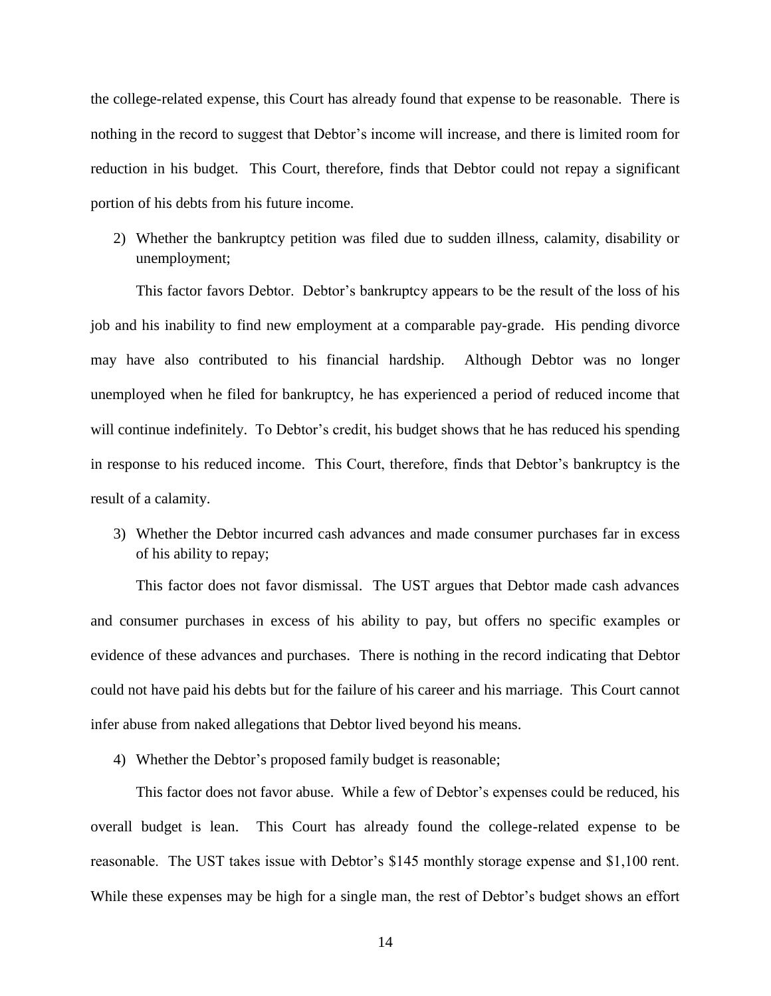the college-related expense, this Court has already found that expense to be reasonable. There is nothing in the record to suggest that Debtor's income will increase, and there is limited room for reduction in his budget. This Court, therefore, finds that Debtor could not repay a significant portion of his debts from his future income.

2) Whether the bankruptcy petition was filed due to sudden illness, calamity, disability or unemployment;

This factor favors Debtor. Debtor's bankruptcy appears to be the result of the loss of his job and his inability to find new employment at a comparable pay-grade. His pending divorce may have also contributed to his financial hardship. Although Debtor was no longer unemployed when he filed for bankruptcy, he has experienced a period of reduced income that will continue indefinitely. To Debtor's credit, his budget shows that he has reduced his spending in response to his reduced income. This Court, therefore, finds that Debtor's bankruptcy is the result of a calamity.

3) Whether the Debtor incurred cash advances and made consumer purchases far in excess of his ability to repay;

This factor does not favor dismissal. The UST argues that Debtor made cash advances and consumer purchases in excess of his ability to pay, but offers no specific examples or evidence of these advances and purchases. There is nothing in the record indicating that Debtor could not have paid his debts but for the failure of his career and his marriage. This Court cannot infer abuse from naked allegations that Debtor lived beyond his means.

4) Whether the Debtor's proposed family budget is reasonable;

This factor does not favor abuse. While a few of Debtor's expenses could be reduced, his overall budget is lean. This Court has already found the college-related expense to be reasonable. The UST takes issue with Debtor's \$145 monthly storage expense and \$1,100 rent. While these expenses may be high for a single man, the rest of Debtor's budget shows an effort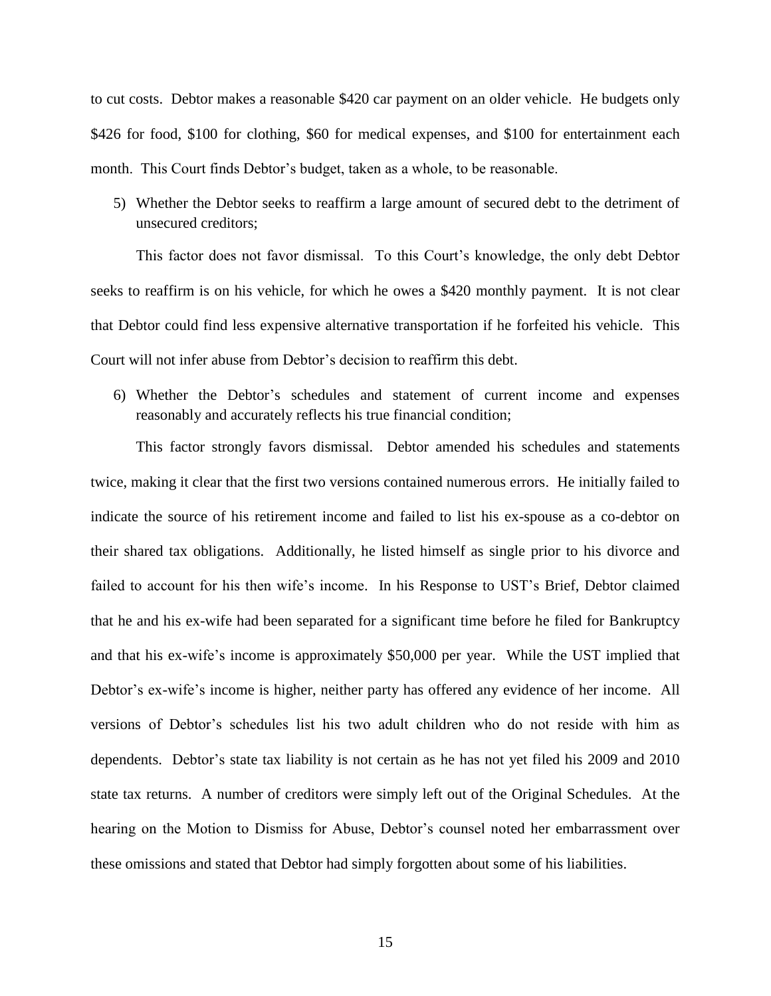to cut costs. Debtor makes a reasonable \$420 car payment on an older vehicle. He budgets only \$426 for food, \$100 for clothing, \$60 for medical expenses, and \$100 for entertainment each month. This Court finds Debtor's budget, taken as a whole, to be reasonable.

5) Whether the Debtor seeks to reaffirm a large amount of secured debt to the detriment of unsecured creditors;

This factor does not favor dismissal. To this Court's knowledge, the only debt Debtor seeks to reaffirm is on his vehicle, for which he owes a \$420 monthly payment. It is not clear that Debtor could find less expensive alternative transportation if he forfeited his vehicle. This Court will not infer abuse from Debtor's decision to reaffirm this debt.

6) Whether the Debtor's schedules and statement of current income and expenses reasonably and accurately reflects his true financial condition;

This factor strongly favors dismissal. Debtor amended his schedules and statements twice, making it clear that the first two versions contained numerous errors. He initially failed to indicate the source of his retirement income and failed to list his ex-spouse as a co-debtor on their shared tax obligations. Additionally, he listed himself as single prior to his divorce and failed to account for his then wife's income. In his Response to UST's Brief, Debtor claimed that he and his ex-wife had been separated for a significant time before he filed for Bankruptcy and that his ex-wife's income is approximately \$50,000 per year. While the UST implied that Debtor's ex-wife's income is higher, neither party has offered any evidence of her income. All versions of Debtor's schedules list his two adult children who do not reside with him as dependents. Debtor's state tax liability is not certain as he has not yet filed his 2009 and 2010 state tax returns. A number of creditors were simply left out of the Original Schedules. At the hearing on the Motion to Dismiss for Abuse, Debtor's counsel noted her embarrassment over these omissions and stated that Debtor had simply forgotten about some of his liabilities.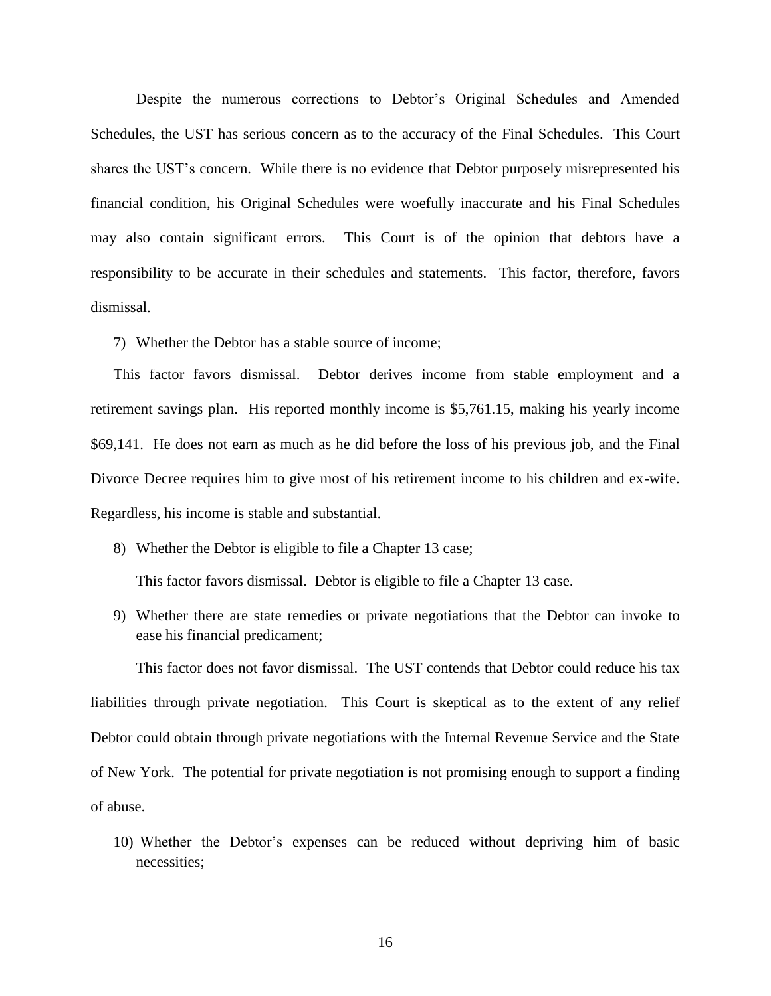Despite the numerous corrections to Debtor's Original Schedules and Amended Schedules, the UST has serious concern as to the accuracy of the Final Schedules. This Court shares the UST's concern. While there is no evidence that Debtor purposely misrepresented his financial condition, his Original Schedules were woefully inaccurate and his Final Schedules may also contain significant errors. This Court is of the opinion that debtors have a responsibility to be accurate in their schedules and statements. This factor, therefore, favors dismissal.

7) Whether the Debtor has a stable source of income;

This factor favors dismissal. Debtor derives income from stable employment and a retirement savings plan. His reported monthly income is \$5,761.15, making his yearly income \$69,141. He does not earn as much as he did before the loss of his previous job, and the Final Divorce Decree requires him to give most of his retirement income to his children and ex-wife. Regardless, his income is stable and substantial.

8) Whether the Debtor is eligible to file a Chapter 13 case;

This factor favors dismissal. Debtor is eligible to file a Chapter 13 case.

9) Whether there are state remedies or private negotiations that the Debtor can invoke to ease his financial predicament;

This factor does not favor dismissal. The UST contends that Debtor could reduce his tax liabilities through private negotiation. This Court is skeptical as to the extent of any relief Debtor could obtain through private negotiations with the Internal Revenue Service and the State of New York. The potential for private negotiation is not promising enough to support a finding of abuse.

10) Whether the Debtor's expenses can be reduced without depriving him of basic necessities;